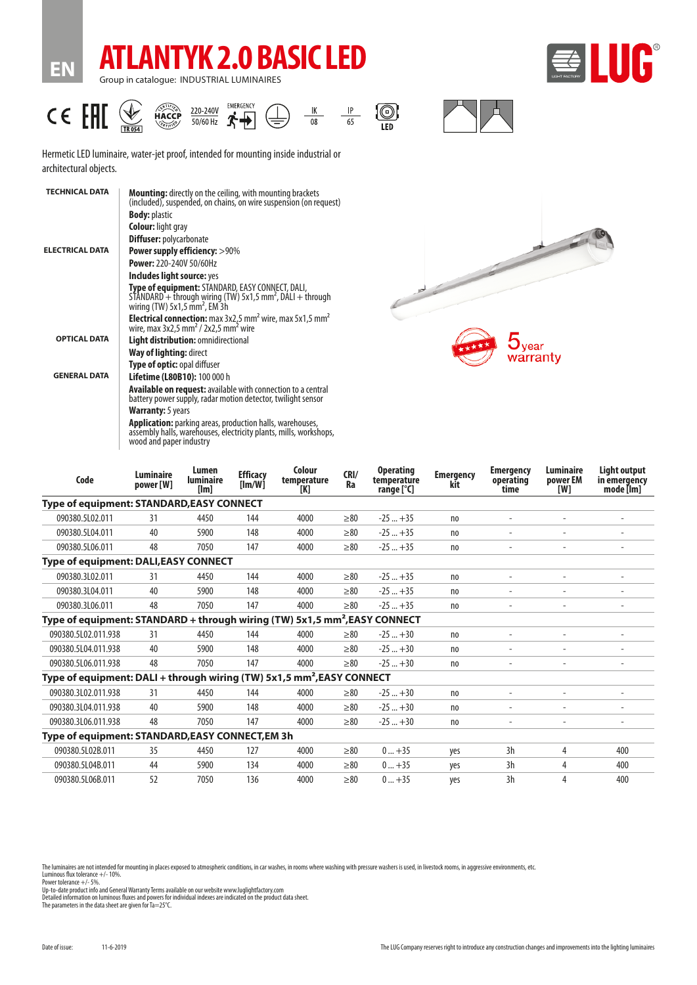



**EN**





Hermetic LED luminaire, water-jet proof, intended for mounting inside industrial or architectural objects.

| <b>TECHNICAL DATA</b>  | <b>Mounting:</b> directly on the ceiling, with mounting brackets<br>(included), suspended, on chains, on wire suspension (on request)                                    |  |  |  |  |
|------------------------|--------------------------------------------------------------------------------------------------------------------------------------------------------------------------|--|--|--|--|
|                        | <b>Body: plastic</b>                                                                                                                                                     |  |  |  |  |
|                        | <b>Colour:</b> light gray                                                                                                                                                |  |  |  |  |
|                        | <b>Diffuser: polycarbonate</b>                                                                                                                                           |  |  |  |  |
| <b>ELECTRICAL DATA</b> | <b>Power supply efficiency: &gt;90%</b>                                                                                                                                  |  |  |  |  |
|                        | <b>Power: 220-240V 50/60Hz</b>                                                                                                                                           |  |  |  |  |
|                        | Includes light source: yes                                                                                                                                               |  |  |  |  |
|                        | Type of equipment: STANDARD, EASY CONNECT, DALI,<br>STANDARD + through wiring (TW) 5x1,5 mm <sup>2</sup> , DALI + through<br>wiring $(TW)$ 5x1,5 mm <sup>2</sup> , EM 3h |  |  |  |  |
|                        | <b>Electrical connection:</b> max $3x2.5$ mm <sup>2</sup> wire, max $5x1.5$ mm <sup>2</sup> wire, max $3x2.5$ mm <sup>2</sup> / $2x2.5$ mm <sup>2</sup> wire             |  |  |  |  |
| <b>OPTICAL DATA</b>    | Light distribution: omnidirectional                                                                                                                                      |  |  |  |  |
|                        | <b>Way of lighting: direct</b>                                                                                                                                           |  |  |  |  |
|                        | Type of optic: opal diffuser                                                                                                                                             |  |  |  |  |
| <b>GENERAL DATA</b>    | Lifetime (L80B10): 100 000 h                                                                                                                                             |  |  |  |  |
|                        | <b>Available on request:</b> available with connection to a central<br>battery power supply, radar motion detector, twilight sensor                                      |  |  |  |  |
|                        | <b>Warranty:</b> 5 years                                                                                                                                                 |  |  |  |  |
|                        | <b>Application:</b> parking areas, production halls, warehouses,<br>assembly halls, warehouses, electricity plants, mills, workshops,<br>wood and paper industry         |  |  |  |  |
|                        |                                                                                                                                                                          |  |  |  |  |



| Code                                                                                   | Luminaire<br>power [W] | Lumen<br><b>luminaire</b><br>[lm] | <b>Efficacy</b><br>[Im/W] | Colour<br>temperature<br>[K] | CRI/<br>Ra | <b>Operating</b><br>temperature<br>range [°C] | <b>Emergency</b><br>kit | <b>Emergency</b><br>operating<br>time | Luminaire<br>power EM<br>[W] | <b>Light output</b><br>in emergency<br>mode [lm] |
|----------------------------------------------------------------------------------------|------------------------|-----------------------------------|---------------------------|------------------------------|------------|-----------------------------------------------|-------------------------|---------------------------------------|------------------------------|--------------------------------------------------|
| Type of equipment: STANDARD, EASY CONNECT                                              |                        |                                   |                           |                              |            |                                               |                         |                                       |                              |                                                  |
| 090380.5L02.011                                                                        | 31                     | 4450                              | 144                       | 4000                         | $\geq 80$  | $-25+35$                                      | no                      | $\overline{a}$                        | $\overline{a}$               | $\overline{\phantom{a}}$                         |
| 090380.5L04.011                                                                        | 40                     | 5900                              | 148                       | 4000                         | $\geq 80$  | $-25+35$                                      | no                      |                                       |                              |                                                  |
| 090380.5L06.011                                                                        | 48                     | 7050                              | 147                       | 4000                         | $\geq 80$  | $-25+35$                                      | no                      |                                       |                              |                                                  |
| Type of equipment: DALI, EASY CONNECT                                                  |                        |                                   |                           |                              |            |                                               |                         |                                       |                              |                                                  |
| 090380.3L02.011                                                                        | 31                     | 4450                              | 144                       | 4000                         | $\geq 80$  | $-25+35$                                      | no                      |                                       |                              |                                                  |
| 090380.3L04.011                                                                        | 40                     | 5900                              | 148                       | 4000                         | $\geq 80$  | $-25+35$                                      | no                      |                                       |                              |                                                  |
| 090380.3L06.011                                                                        | 48                     | 7050                              | 147                       | 4000                         | > 80       | $-25+35$                                      | no                      |                                       | $\overline{\phantom{a}}$     | $\overline{\phantom{a}}$                         |
| Type of equipment: STANDARD + through wiring (TW) 5x1,5 mm <sup>2</sup> , EASY CONNECT |                        |                                   |                           |                              |            |                                               |                         |                                       |                              |                                                  |
| 090380.5L02.011.938                                                                    | 31                     | 4450                              | 144                       | 4000                         | >80        | $-25+30$                                      | no                      |                                       |                              |                                                  |
| 090380.5L04.011.938                                                                    | 40                     | 5900                              | 148                       | 4000                         | $\geq 80$  | $-25+30$                                      | no                      |                                       | $\overline{\phantom{a}}$     | $\blacksquare$                                   |
| 090380.5L06.011.938                                                                    | 48                     | 7050                              | 147                       | 4000                         | > 80       | $-25+30$                                      | no                      |                                       |                              |                                                  |
| Type of equipment: DALI + through wiring (TW) 5x1,5 mm <sup>2</sup> , EASY CONNECT     |                        |                                   |                           |                              |            |                                               |                         |                                       |                              |                                                  |
| 090380.3L02.011.938                                                                    | 31                     | 4450                              | 144                       | 4000                         | $\geq 80$  | $-25+30$                                      | n <sub>0</sub>          |                                       |                              |                                                  |
| 090380.3L04.011.938                                                                    | 40                     | 5900                              | 148                       | 4000                         | >80        | $-25+30$                                      | no                      |                                       |                              |                                                  |
| 090380.3L06.011.938                                                                    | 48                     | 7050                              | 147                       | 4000                         | > 80       | $-25+30$                                      | no                      |                                       |                              |                                                  |
| Type of equipment: STANDARD, EASY CONNECT, EM 3h                                       |                        |                                   |                           |                              |            |                                               |                         |                                       |                              |                                                  |
| 090380.5L02B.011                                                                       | 35                     | 4450                              | 127                       | 4000                         | $\geq 80$  | $0+35$                                        | yes                     | 3h                                    | 4                            | 400                                              |
| 090380.5L04B.011                                                                       | 44                     | 5900                              | 134                       | 4000                         | $\geq 80$  | $0+35$                                        | yes                     | 3h                                    | 4                            | 400                                              |
| 090380.5L06B.011                                                                       | 52                     | 7050                              | 136                       | 4000                         | $\geq 80$  | $0+35$                                        | yes                     | 3h                                    | 4                            | 400                                              |

The luminaires are not intended for mounting in places exposed to atmospheric conditions, in car washes, in rooms where washing with pressure washers is used, in livestock rooms, in aggressive environments, etc. Luminous flux tolerance +/- 10%.

Power tolerance +/- 5%.<br>Up-to-date product info and General Warranty Terms available on our website www.luglightfactory.com<br>Detailed information on luminous fluxes and powers for individual indexes are indicated on the pro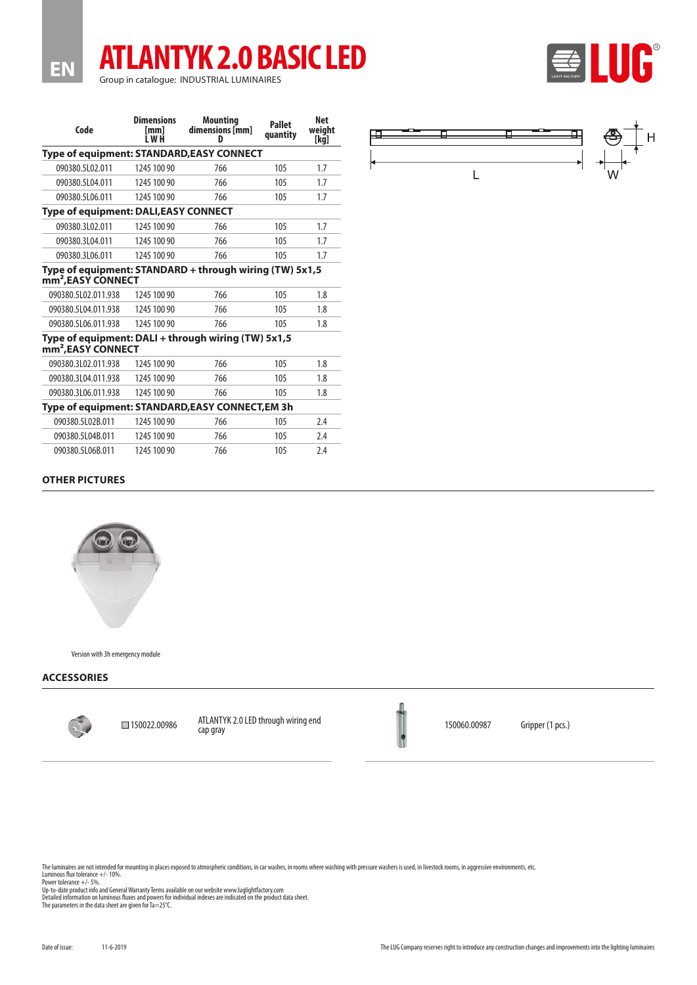# **ATLANTYK 2.0 BASIC LED** Group in catalogue: INDUSTRIAL LUMINAIRES

| Code                                                                                      | <b>Dimensions</b><br>[mm]<br>i w H | <b>Mounting</b><br>dimensions [mm]<br>D | <b>Pallet</b><br>quantity | <b>Net</b><br>weight<br>[kq] |  |
|-------------------------------------------------------------------------------------------|------------------------------------|-----------------------------------------|---------------------------|------------------------------|--|
| Type of equipment: STANDARD, EASY CONNECT                                                 |                                    |                                         |                           |                              |  |
| 090380.5L02.011                                                                           | 1245 100 90                        | 766                                     | 105                       | 1.7                          |  |
| 090380.5L04.011                                                                           | 1245 100 90                        | 766                                     | 105                       | 1.7                          |  |
| 090380.5L06.011                                                                           | 1245 100 90                        | 766                                     | 105                       | 1.7                          |  |
| <b>Type of equipment: DALI, EASY CONNECT</b>                                              |                                    |                                         |                           |                              |  |
| 090380.3L02.011                                                                           | 1245 100 90                        | 766                                     | 105                       | 1.7                          |  |
| 090380.3L04.011                                                                           | 1245 100 90                        | 766                                     | 105                       | 1.7                          |  |
| 090380.3L06.011                                                                           | 1245 100 90                        | 766                                     | 105                       | 1.7                          |  |
| Type of equipment: STANDARD + through wiring (TW) 5x1,5<br>mm <sup>2</sup> , EASY CONNECT |                                    |                                         |                           |                              |  |
| 090380.5L02.011.938                                                                       | 1245 100 90                        | 766                                     | 105                       | 1.8                          |  |
| 090380.5L04.011.938                                                                       | 1245 100 90                        | 766                                     | 105                       | 1.8                          |  |
| 090380.5L06.011.938                                                                       | 1245 100 90                        | 766                                     | 105                       | 1.8                          |  |
| Type of equipment: DALI + through wiring (TW) 5x1,5<br>mm <sup>2</sup> , EASY CONNECT     |                                    |                                         |                           |                              |  |
| 090380.3L02.011.938                                                                       | 1245 100 90                        | 766                                     | 105                       | 1.8                          |  |
| 090380.3L04.011.938                                                                       | 1245 100 90                        | 766                                     | 105                       | 1.8                          |  |
| 090380.3L06.011.938                                                                       | 1245 100 90                        | 766                                     | 105                       | 1.8                          |  |
| Type of equipment: STANDARD, EASY CONNECT, EM 3h                                          |                                    |                                         |                           |                              |  |
| 090380.5L02B.011                                                                          | 1245 100 90                        | 766                                     | 105                       | 2.4                          |  |
| 090380.5L04B.011                                                                          | 1245 100 90                        | 766                                     | 105                       | 2.4                          |  |
| 090380.5L06B.011                                                                          | 1245 100 90                        | 766                                     | 105                       | 2.4                          |  |



LUG®

 $|\mathbf{E}|\$ 

# **OTHER PICTURES**

**EN**



Version with 3h emergency module

### **ACCESSORIES**



150022.00986 ATLANTYK 2.0 LED through wiring end cap gray 150060.00987 Gripper (1 pcs.)

The luminaires are not intended for mounting in places exposed to atmospheric conditions, in car washes, in rooms where washing with pressure washers is used, in livestock rooms, in aggressive environments, etc. Luminous flux tolerance +/- 10%.

Power tolerance +/- 5%.<br>Up-to-date product info and General Warranty Terms available on our website www.luglightfactory.com<br>Detailed information on luminous fluxes and powers for individual indexes are indicated on the pro